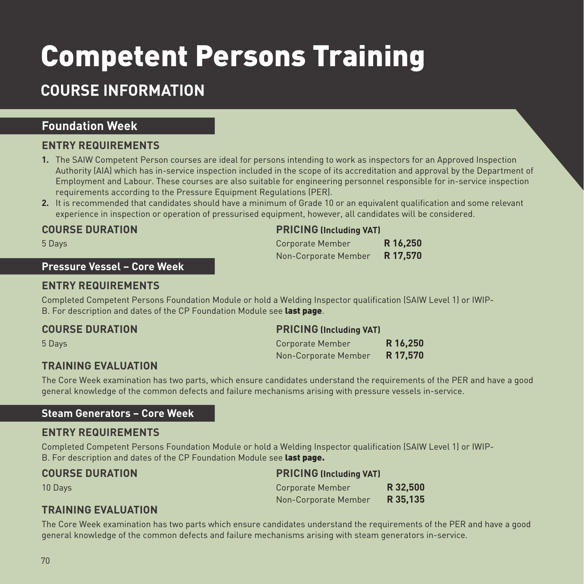# Competent Persons Training

## **COURSE INFORMATION**

### **Foundation Week**

### **ENTRY REQUIREMENTS**

- **1.** The SAIW Competent Person courses are ideal for persons intending to work as inspectors for an Approved Inspection Authority (AIA) which has in-service inspection included in the scope of its accreditation and approval by the Department of Employment and Labour. These courses are also suitable for engineering personnel responsible for in-service inspection requirements according to the Pressure Equipment Regulations (PER).
- **2.** It is recommended that candidates should have a minimum of Grade 10 or an equivalent qualification and some relevant experience in inspection or operation of pressurised equipment, however, all candidates will be considered.

### **COURSE DURATION PRICING (Including VAT)**

### **Pressure Vessel – Core Week**

### **ENTRY REQUIREMENTS**

Completed Competent Persons Foundation Module or hold a Welding Inspector qualification (SAIW Level 1) or IWIP-B. For description and dates of the CP Foundation Module see last page.

### **TRAINING EVALUATION**

| 5 Days | Corporate Member              | R 16,250 |
|--------|-------------------------------|----------|
|        | Non-Corporate Member R 17,570 |          |

### **COURSE DURATION PRICING (Including VAT)**

| 5 Days | Corporate Member     |          |
|--------|----------------------|----------|
|        | Non-Corporate Member | R 17,570 |

The Core Week examination has two parts, which ensure candidates understand the requirements of the PER and have a good general knowledge of the common defects and failure mechanisms arising with pressure vessels in-service.

### **Steam Generators – Core Week**

### **ENTRY REQUIREMENTS**

Completed Competent Persons Foundation Module or hold a Welding Inspector qualification (SAIW Level 1) or IWIP-B. For description and dates of the CP Foundation Module see last page.

| <b>COURSE DURATION</b> | <b>PRICING (Including VAT)</b> |          |
|------------------------|--------------------------------|----------|
| 10 Davs                | Corporate Member               | R 32,500 |
|                        | Non-Corporate Member           | R 35.135 |

### **TRAINING EVALUATION**

The Core Week examination has two parts which ensure candidates understand the requirements of the PER and have a good general knowledge of the common defects and failure mechanisms arising with steam generators in-service.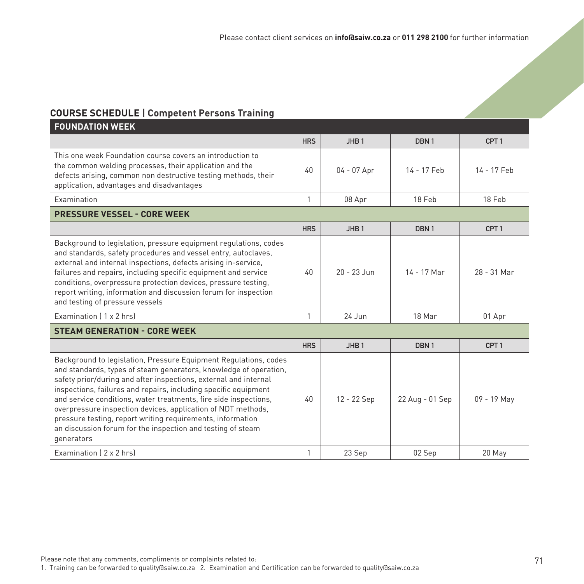### **COURSE SCHEDULE | Competent Persons Training**

| <b>FOUNDATION WEEK</b>                                                                                                                                                                                                                                                                                                                                                                                                                                                                                                                                      |            |                  |                  |                  |
|-------------------------------------------------------------------------------------------------------------------------------------------------------------------------------------------------------------------------------------------------------------------------------------------------------------------------------------------------------------------------------------------------------------------------------------------------------------------------------------------------------------------------------------------------------------|------------|------------------|------------------|------------------|
|                                                                                                                                                                                                                                                                                                                                                                                                                                                                                                                                                             | <b>HRS</b> | JHB <sub>1</sub> | DBN <sub>1</sub> | CPT <sub>1</sub> |
| This one week Foundation course covers an introduction to<br>the common welding processes, their application and the<br>defects arising, common non destructive testing methods, their<br>application, advantages and disadvantages                                                                                                                                                                                                                                                                                                                         | 40         | $04 - 07$ Apr    | 14 - 17 Feb      | 14 - 17 Feb      |
| Examination                                                                                                                                                                                                                                                                                                                                                                                                                                                                                                                                                 | 1          | 08 Apr           | 18 Feb           | 18 Feb           |
| <b>PRESSURE VESSEL - CORE WEEK</b>                                                                                                                                                                                                                                                                                                                                                                                                                                                                                                                          |            |                  |                  |                  |
|                                                                                                                                                                                                                                                                                                                                                                                                                                                                                                                                                             | <b>HRS</b> | JHB <sub>1</sub> | DBN <sub>1</sub> | CPT <sub>1</sub> |
| Background to legislation, pressure equipment regulations, codes<br>and standards, safety procedures and vessel entry, autoclaves,<br>external and internal inspections, defects arising in-service,<br>failures and repairs, including specific equipment and service<br>conditions, overpressure protection devices, pressure testing,<br>report writing, information and discussion forum for inspection<br>and testing of pressure vessels                                                                                                              | 40         | $20 - 23$ Jun    | 14 - 17 Mar      | 28 - 31 Mar      |
| Examination (1 x 2 hrs)                                                                                                                                                                                                                                                                                                                                                                                                                                                                                                                                     | 1          | $24$ Jun         | 18 Mar           | 01 Apr           |
| <b>STEAM GENERATION - CORE WEEK</b>                                                                                                                                                                                                                                                                                                                                                                                                                                                                                                                         |            |                  |                  |                  |
|                                                                                                                                                                                                                                                                                                                                                                                                                                                                                                                                                             | <b>HRS</b> | JHB <sub>1</sub> | DBN <sub>1</sub> | CPT <sub>1</sub> |
| Background to legislation, Pressure Equipment Regulations, codes<br>and standards, types of steam generators, knowledge of operation,<br>safety prior/during and after inspections, external and internal<br>inspections, failures and repairs, including specific equipment<br>and service conditions, water treatments, fire side inspections,<br>overpressure inspection devices, application of NDT methods,<br>pressure testing, report writing requirements, information<br>an discussion forum for the inspection and testing of steam<br>generators | 40         | 12 - 22 Sep      | 22 Aug - 01 Sep  | 09 - 19 May      |
| Examination (2 x 2 hrs)                                                                                                                                                                                                                                                                                                                                                                                                                                                                                                                                     | 1          | 23 Sep           | 02 Sep           | 20 May           |